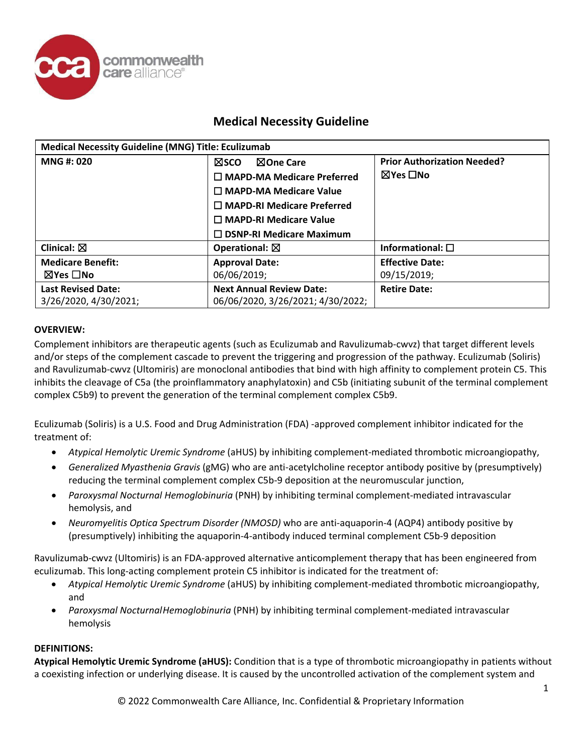

| <b>Medical Necessity Guideline (MNG) Title: Eculizumab</b> |                                   |                                    |  |
|------------------------------------------------------------|-----------------------------------|------------------------------------|--|
| <b>MNG#: 020</b>                                           | ⊠One Care<br>⊠sco                 | <b>Prior Authorization Needed?</b> |  |
|                                                            | $\Box$ MAPD-MA Medicare Preferred | ⊠Yes □No                           |  |
|                                                            | $\Box$ MAPD-MA Medicare Value     |                                    |  |
|                                                            | $\Box$ MAPD-RI Medicare Preferred |                                    |  |
|                                                            | $\Box$ MAPD-RI Medicare Value     |                                    |  |
|                                                            | $\Box$ DSNP-RI Medicare Maximum   |                                    |  |
| Clinical: $\boxtimes$                                      | Operational: $\boxtimes$          | Informational: $\square$           |  |
| <b>Medicare Benefit:</b>                                   | <b>Approval Date:</b>             | <b>Effective Date:</b>             |  |
| ⊠Yes □No                                                   | 06/06/2019;                       | 09/15/2019;                        |  |
| <b>Last Revised Date:</b>                                  | <b>Next Annual Review Date:</b>   | <b>Retire Date:</b>                |  |
| 3/26/2020, 4/30/2021;                                      | 06/06/2020, 3/26/2021; 4/30/2022; |                                    |  |

#### **OVERVIEW:**

Complement inhibitors are therapeutic agents (such as Eculizumab and Ravulizumab-cwvz) that target different levels and/or steps of the complement cascade to prevent the triggering and progression of the pathway. Eculizumab (Soliris) and Ravulizumab-cwvz (Ultomiris) are monoclonal antibodies that bind with high affinity to complement protein C5. This inhibits the cleavage of C5a (the proinflammatory anaphylatoxin) and C5b (initiating subunit of the terminal complement complex C5b9) to prevent the generation of the terminal complement complex C5b9.

Eculizumab (Soliris) is a U.S. Food and Drug Administration (FDA) -approved complement inhibitor indicated for the treatment of:

- *Atypical Hemolytic Uremic Syndrome* (aHUS) by inhibiting complement-mediated thrombotic microangiopathy,
- *Generalized Myasthenia Gravis* (gMG) who are anti-acetylcholine receptor antibody positive by (presumptively) reducing the terminal complement complex C5b-9 deposition at the neuromuscular junction,
- *Paroxysmal Nocturnal Hemoglobinuria* (PNH) by inhibiting terminal complement-mediated intravascular hemolysis, and
- *Neuromyelitis Optica Spectrum Disorder (NMOSD)* who are anti-aquaporin-4 (AQP4) antibody positive by (presumptively) inhibiting the aquaporin-4-antibody induced terminal complement C5b-9 deposition

Ravulizumab-cwvz (Ultomiris) is an FDA-approved alternative anticomplement therapy that has been engineered from eculizumab. This long-acting complement protein C5 inhibitor is indicated for the treatment of:

- *Atypical Hemolytic Uremic Syndrome* (aHUS) by inhibiting complement-mediated thrombotic microangiopathy, and
- *Paroxysmal Nocturnal Hemoglobinuria* (PNH) by inhibiting terminal complement-mediated intravascular hemolysis

#### **DEFINITIONS:**

**Atypical Hemolytic Uremic Syndrome (aHUS):** Condition that is a type of thrombotic microangiopathy in patients without a coexisting infection or underlying disease. It is caused by the uncontrolled activation of the complement system and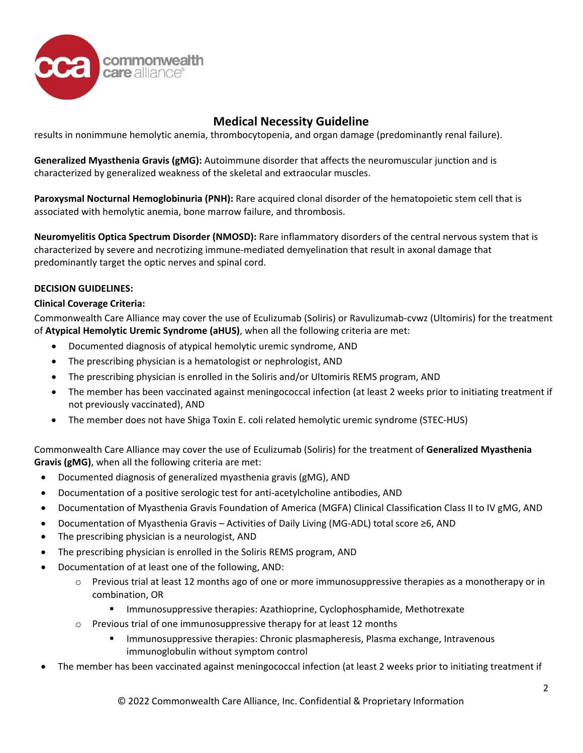

results in nonimmune hemolytic anemia, thrombocytopenia, and organ damage (predominantly renal failure).

**Generalized Myasthenia Gravis (gMG):** Autoimmune disorder that affects the neuromuscular junction and is characterized by generalized weakness of the skeletal and extraocular muscles.

**Paroxysmal Nocturnal Hemoglobinuria (PNH):** Rare acquired clonal disorder of the hematopoietic stem cell that is associated with hemolytic anemia, bone marrow failure, and thrombosis.

**Neuromyelitis Optica Spectrum Disorder (NMOSD):** Rare inflammatory disorders of the central nervous system that is characterized by severe and necrotizing immune-mediated demyelination that result in axonal damage that predominantly target the optic nerves and spinal cord.

#### **DECISION GUIDELINES:**

#### **Clinical Coverage Criteria:**

Commonwealth Care Alliance may cover the use of Eculizumab (Soliris) or Ravulizumab-cvwz (Ultomiris) for the treatment of **Atypical Hemolytic Uremic Syndrome (aHUS)**, when all the following criteria are met:

- Documented diagnosis of atypical hemolytic uremic syndrome, AND
- The prescribing physician is a hematologist or nephrologist, AND
- The prescribing physician is enrolled in the Soliris and/or Ultomiris REMS program, AND
- The member has been vaccinated against meningococcal infection (at least 2 weeks prior to initiating treatment if not previously vaccinated), AND
- The member does not have Shiga Toxin E. coli related hemolytic uremic syndrome (STEC-HUS)

Commonwealth Care Alliance may cover the use of Eculizumab (Soliris) for the treatment of **Generalized Myasthenia Gravis (gMG)**, when all the following criteria are met:

- Documented diagnosis of generalized myasthenia gravis (gMG), AND
- Documentation of a positive serologic test for anti-acetylcholine antibodies, AND
- Documentation of Myasthenia Gravis Foundation of America (MGFA) Clinical Classification Class II to IV gMG, AND
- Documentation of Myasthenia Gravis Activities of Daily Living (MG-ADL) total score ≥6, AND
- The prescribing physician is a neurologist, AND
- The prescribing physician is enrolled in the Soliris REMS program, AND
- Documentation of at least one of the following, AND:
	- $\circ$  Previous trial at least 12 months ago of one or more immunosuppressive therapies as a monotherapy or in combination, OR
		- **IMMUNO EXAGO EXAGO EXAGO EXAGO EXAGO EXAGO EXAGO EXAGO EXAGO EXAGO EXAGO EXAGO EXAGO EXAGO EXAGO EXAGO EXAGO EXAGO EXAGO EXAGO EXAGO EXAGO EXAGO EXAGO EXAGO EXAGO EXAGO EXAGO EXAGO EXAGO EXAGO EXAGO EXAGO EXAGO EXAGO EXAG**
	- $\circ$  Previous trial of one immunosuppressive therapy for at least 12 months
		- **IMMUNOSUPPRESSIVE therapies: Chronic plasmapheresis, Plasma exchange, Intravenous** immunoglobulin without symptom control
- The member has been vaccinated against meningococcal infection (at least 2 weeks prior to initiating treatment if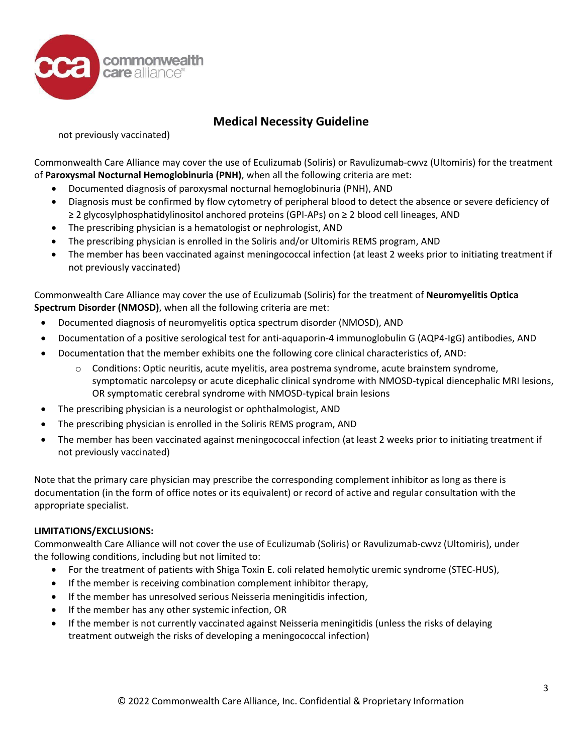

not previously vaccinated)

Commonwealth Care Alliance may cover the use of Eculizumab (Soliris) or Ravulizumab-cwvz (Ultomiris) for the treatment of **Paroxysmal Nocturnal Hemoglobinuria (PNH)**, when all the following criteria are met:

- Documented diagnosis of paroxysmal nocturnal hemoglobinuria (PNH), AND
- Diagnosis must be confirmed by flow cytometry of peripheral blood to detect the absence or severe deficiency of ≥ 2 glycosylphosphatidylinositol anchored proteins (GPI-APs) on ≥ 2 blood cell lineages, AND
- The prescribing physician is a hematologist or nephrologist, AND
- The prescribing physician is enrolled in the Soliris and/or Ultomiris REMS program, AND
- The member has been vaccinated against meningococcal infection (at least 2 weeks prior to initiating treatment if not previously vaccinated)

Commonwealth Care Alliance may cover the use of Eculizumab (Soliris) for the treatment of **Neuromyelitis Optica Spectrum Disorder (NMOSD)**, when all the following criteria are met:

- Documented diagnosis of neuromyelitis optica spectrum disorder (NMOSD), AND
- Documentation of a positive serological test for anti-aquaporin-4 immunoglobulin G (AQP4-IgG) antibodies, AND
- Documentation that the member exhibits one the following core clinical characteristics of, AND:
	- $\circ$  Conditions: Optic neuritis, acute myelitis, area postrema syndrome, acute brainstem syndrome, symptomatic narcolepsy or acute dicephalic clinical syndrome with NMOSD-typical diencephalic MRI lesions, OR symptomatic cerebral syndrome with NMOSD-typical brain lesions
- The prescribing physician is a neurologist or ophthalmologist, AND
- The prescribing physician is enrolled in the Soliris REMS program, AND
- The member has been vaccinated against meningococcal infection (at least 2 weeks prior to initiating treatment if not previously vaccinated)

Note that the primary care physician may prescribe the corresponding complement inhibitor as long as there is documentation (in the form of office notes or its equivalent) or record of active and regular consultation with the appropriate specialist.

#### **LIMITATIONS/EXCLUSIONS:**

Commonwealth Care Alliance will not cover the use of Eculizumab (Soliris) or Ravulizumab-cwvz (Ultomiris), under the following conditions, including but not limited to:

- For the treatment of patients with Shiga Toxin E. coli related hemolytic uremic syndrome (STEC-HUS),
- If the member is receiving combination complement inhibitor therapy,
- If the member has unresolved serious Neisseria meningitidis infection,
- If the member has any other systemic infection, OR
- If the member is not currently vaccinated against Neisseria meningitidis (unless the risks of delaying treatment outweigh the risks of developing a meningococcal infection)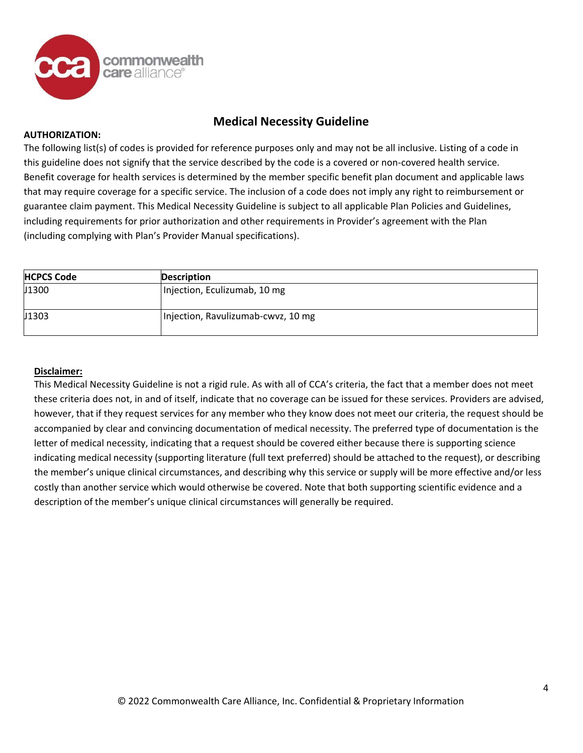

#### **AUTHORIZATION:**

The following list(s) of codes is provided for reference purposes only and may not be all inclusive. Listing of a code in this guideline does not signify that the service described by the code is a covered or non-covered health service. Benefit coverage for health services is determined by the member specific benefit plan document and applicable laws that may require coverage for a specific service. The inclusion of a code does not imply any right to reimbursement or guarantee claim payment. This Medical Necessity Guideline is subject to all applicable Plan Policies and Guidelines, including requirements for prior authorization and other requirements in Provider's agreement with the Plan (including complying with Plan's Provider Manual specifications).

| <b>HCPCS Code</b> | <b>Description</b>                 |
|-------------------|------------------------------------|
| J1300             | Injection, Eculizumab, 10 mg       |
| J1303             | Injection, Ravulizumab-cwvz, 10 mg |

#### **Disclaimer:**

This Medical Necessity Guideline is not a rigid rule. As with all of CCA's criteria, the fact that a member does not meet these criteria does not, in and of itself, indicate that no coverage can be issued for these services. Providers are advised, however, that if they request services for any member who they know does not meet our criteria, the request should be accompanied by clear and convincing documentation of medical necessity. The preferred type of documentation is the letter of medical necessity, indicating that a request should be covered either because there is supporting science indicating medical necessity (supporting literature (full text preferred) should be attached to the request), or describing the member's unique clinical circumstances, and describing why this service or supply will be more effective and/or less costly than another service which would otherwise be covered. Note that both supporting scientific evidence and a description of the member's unique clinical circumstances will generally be required.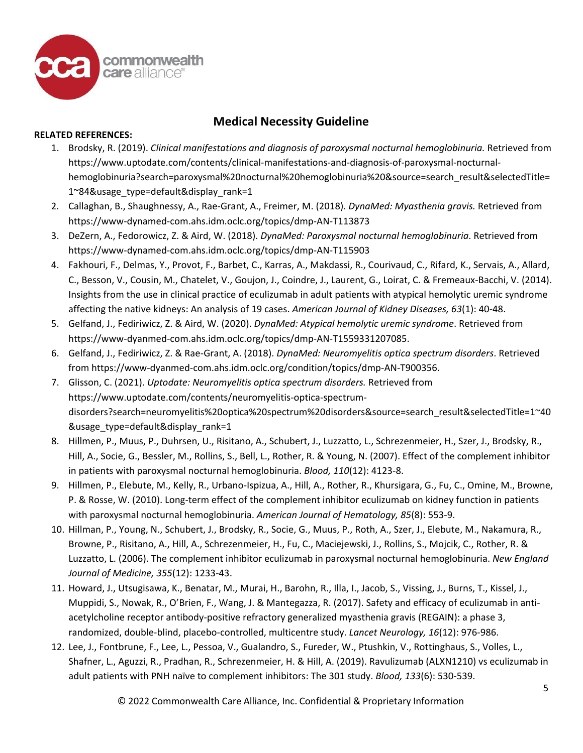

#### **RELATED REFERENCES:**

- 1. Brodsky, R. (2019). *Clinical manifestations and diagnosis of paroxysmal nocturnal hemoglobinuria.* Retrieved from https://www.uptodate.com/contents/clinical-manifestations-and-diagnosis-of-paroxysmal-nocturnalhemoglobinuria?search=paroxysmal%20nocturnal%20hemoglobinuria%20&source=search\_result&selectedTitle= 1~84&usage\_type=default&display\_rank=1
- 2. Callaghan, B., Shaughnessy, A., Rae-Grant, A., Freimer, M. (2018). *DynaMed: Myasthenia gravis.* Retrieved from https://www-dynamed-com.ahs.idm.oclc.org/topics/dmp-AN-T113873
- 3. DeZern, A., Fedorowicz, Z. & Aird, W. (2018). *DynaMed: Paroxysmal nocturnal hemoglobinuria*. Retrieved from https://www-dynamed-com.ahs.idm.oclc.org/topics/dmp-AN-T115903
- 4. Fakhouri, F., Delmas, Y., Provot, F., Barbet, C., Karras, A., Makdassi, R., Courivaud, C., Rifard, K., Servais, A., Allard, C., Besson, V., Cousin, M., Chatelet, V., Goujon, J., Coindre, J., Laurent, G., Loirat, C. & Fremeaux-Bacchi, V. (2014). Insights from the use in clinical practice of eculizumab in adult patients with atypical hemolytic uremic syndrome affecting the native kidneys: An analysis of 19 cases. *American Journal of Kidney Diseases, 63*(1): 40-48.
- 5. Gelfand, J., Fediriwicz, Z. & Aird, W. (2020). *DynaMed: Atypical hemolytic uremic syndrome*. Retrieved from [https://www-dyanmed-com.ahs.idm.oclc.org/topics/dmp-AN-T1559331207085.](https://www-dyanmed-com.ahs.idm.oclc.org/topics/dmp-AN-T1559331207085)
- 6. Gelfand, J., Fediriwicz, Z. & Rae-Grant, A. (2018). *DynaMed: Neuromyelitis optica spectrum disorders*. Retrieved from [https://www-dyanmed-com.ahs.idm.oclc.org/condition/topics/dmp-AN-T900356.](https://www-dyanmed-com.ahs.idm.oclc.org/condition/topics/dmp-AN-T900356)
- 7. Glisson, C. (2021). *Uptodate: Neuromyelitis optica spectrum disorders.* Retrieved from https://www.uptodate.com/contents/neuromyelitis-optica-spectrumdisorders?search=neuromyelitis%20optica%20spectrum%20disorders&source=search\_result&selectedTitle=1~40 &usage\_type=default&display\_rank=1
- 8. Hillmen, P., Muus, P., Duhrsen, U., Risitano, A., Schubert, J., Luzzatto, L., Schrezenmeier, H., Szer, J., Brodsky, R., Hill, A., Socie, G., Bessler, M., Rollins, S., Bell, L., Rother, R. & Young, N. (2007). Effect of the complement inhibitor in patients with paroxysmal nocturnal hemoglobinuria. *Blood, 110*(12): 4123-8.
- 9. Hillmen, P., Elebute, M., Kelly, R., Urbano-Ispizua, A., Hill, A., Rother, R., Khursigara, G., Fu, C., Omine, M., Browne, P. & Rosse, W. (2010). Long-term effect of the complement inhibitor eculizumab on kidney function in patients with paroxysmal nocturnal hemoglobinuria. *American Journal of Hematology, 85*(8): 553-9.
- 10. Hillman, P., Young, N., Schubert, J., Brodsky, R., Socie, G., Muus, P., Roth, A., Szer, J., Elebute, M., Nakamura, R., Browne, P., Risitano, A., Hill, A., Schrezenmeier, H., Fu, C., Maciejewski, J., Rollins, S., Mojcik, C., Rother, R. & Luzzatto, L. (2006). The complement inhibitor eculizumab in paroxysmal nocturnal hemoglobinuria. *New England Journal of Medicine, 355*(12): 1233-43.
- 11. Howard, J., Utsugisawa, K., Benatar, M., Murai, H., Barohn, R., Illa, I., Jacob, S., Vissing, J., Burns, T., Kissel, J., Muppidi, S., Nowak, R., O'Brien, F., Wang, J. & Mantegazza, R. (2017). Safety and efficacy of eculizumab in antiacetylcholine receptor antibody-positive refractory generalized myasthenia gravis (REGAIN): a phase 3, randomized, double-blind, placebo-controlled, multicentre study. *Lancet Neurology, 16*(12): 976-986.
- 12. Lee, J., Fontbrune, F., Lee, L., Pessoa, V., Gualandro, S., Fureder, W., Ptushkin, V., Rottinghaus, S., Volles, L., Shafner, L., Aguzzi, R., Pradhan, R., Schrezenmeier, H. & Hill, A. (2019). Ravulizumab (ALXN1210) vs eculizumab in adult patients with PNH naïve to complement inhibitors: The 301 study. *Blood, 133*(6): 530-539.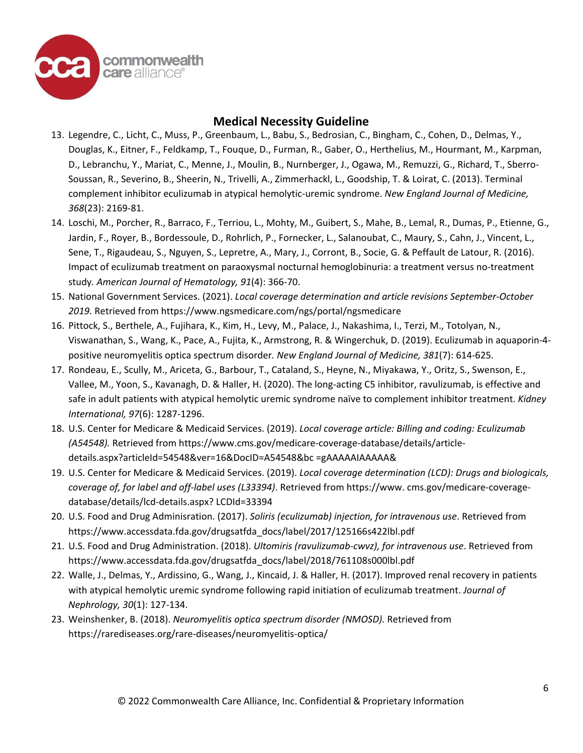

- 13. Legendre, C., Licht, C., Muss, P., Greenbaum, L., Babu, S., Bedrosian, C., Bingham, C., Cohen, D., Delmas, Y., Douglas, K., Eitner, F., Feldkamp, T., Fouque, D., Furman, R., Gaber, O., Herthelius, M., Hourmant, M., Karpman, D., Lebranchu, Y., Mariat, C., Menne, J., Moulin, B., Nurnberger, J., Ogawa, M., Remuzzi, G., Richard, T., Sberro-Soussan, R., Severino, B., Sheerin, N., Trivelli, A., Zimmerhackl, L., Goodship, T. & Loirat, C. (2013). Terminal complement inhibitor eculizumab in atypical hemolytic-uremic syndrome. *New England Journal of Medicine, 368*(23): 2169-81.
- 14. Loschi, M., Porcher, R., Barraco, F., Terriou, L., Mohty, M., Guibert, S., Mahe, B., Lemal, R., Dumas, P., Etienne, G., Jardin, F., Royer, B., Bordessoule, D., Rohrlich, P., Fornecker, L., Salanoubat, C., Maury, S., Cahn, J., Vincent, L., Sene, T., Rigaudeau, S., Nguyen, S., Lepretre, A., Mary, J., Corront, B., Socie, G. & Peffault de Latour, R. (2016). Impact of eculizumab treatment on paraoxysmal nocturnal hemoglobinuria: a treatment versus no-treatment study*. American Journal of Hematology, 91*(4): 366-70.
- 15. National Government Services. (2021). *Local coverage determination and article revisions September-October 2019.* Retrieved from<https://www.ngsmedicare.com/ngs/portal/ngsmedicare>
- 16. Pittock, S., Berthele, A., Fujihara, K., Kim, H., Levy, M., Palace, J., Nakashima, I., Terzi, M., Totolyan, N., Viswanathan, S., Wang, K., Pace, A., Fujita, K., Armstrong, R. & Wingerchuk, D. (2019). Eculizumab in aquaporin-4 positive neuromyelitis optica spectrum disorder*. New England Journal of Medicine, 381*(7): 614-625.
- 17. Rondeau, E., Scully, M., Ariceta, G., Barbour, T., Cataland, S., Heyne, N., Miyakawa, Y., Oritz, S., Swenson, E., Vallee, M., Yoon, S., Kavanagh, D. & Haller, H. (2020). The long-acting C5 inhibitor, ravulizumab, is effective and safe in adult patients with atypical hemolytic uremic syndrome naïve to complement inhibitor treatment. *Kidney International, 97*(6): 1287-1296.
- 18. U.S. Center for Medicare & Medicaid Services. (2019). *Local coverage article: Billing and coding: Eculizumab (A54548).* Retrieved from https://www.cms.gov/medicare-coverage-database/details/articledetails.aspx?articleId=54548&ver=16&DocID=A54548&bc =gAAAAAIAAAAA&
- 19. U.S. Center for Medicare & Medicaid Services. (2019). *Local coverage determination (LCD): Drugs and biologicals, coverage of, for label and off-label uses (L33394)*. Retrieved from https://www. cms.gov/medicare-coveragedatabase/details/lcd-details.aspx? LCDId=33394
- 20. U.S. Food and Drug Adminisration. (2017). *Soliris (eculizumab) injection, for intravenous use*. Retrieved from https://www.accessdata.fda.gov/drugsatfda\_docs/label/2017/125166s422lbl.pdf
- 21. U.S. Food and Drug Administration. (2018). *Ultomiris (ravulizumab-cwvz), for intravenous use*. Retrieved from https://www.accessdata.fda.gov/drugsatfda\_docs/label/2018/761108s000lbl.pdf
- 22. Walle, J., Delmas, Y., Ardissino, G., Wang, J., Kincaid, J. & Haller, H. (2017). Improved renal recovery in patients with atypical hemolytic uremic syndrome following rapid initiation of eculizumab treatment. *Journal of Nephrology, 30*(1): 127-134.
- 23. Weinshenker, B. (2018). *Neuromyelitis optica spectrum disorder (NMOSD).* Retrieved from [https://rarediseases.org/rare-d](https://rarediseases.org/rare-)iseases/neuromyelitis-optica/